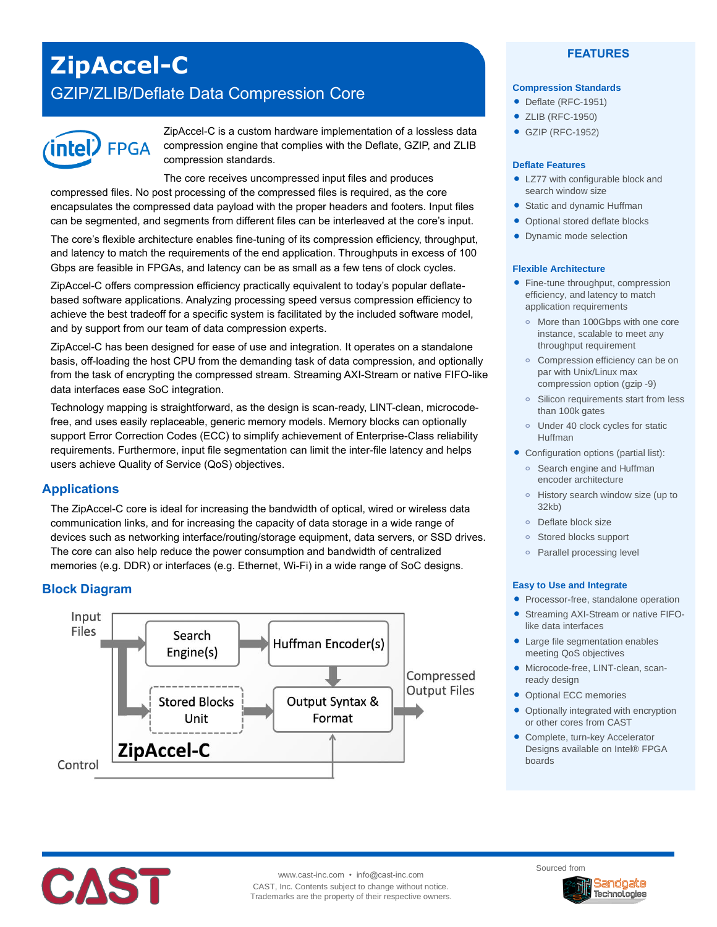# **ZipAccel-C**

# GZIP/ZLIB/Deflate Data Compression Core



ZipAccel-C is a custom hardware implementation of a lossless data compression engine that complies with the Deflate, GZIP, and ZLIB compression standards.

The core receives uncompressed input files and produces compressed files. No post processing of the compressed files is required, as the core encapsulates the compressed data payload with the proper headers and footers. Input files can be segmented, and segments from different files can be interleaved at the core's input.

The core's flexible architecture enables fine-tuning of its compression efficiency, throughput, and latency to match the requirements of the end application. Throughputs in excess of 100 Gbps are feasible in FPGAs, and latency can be as small as a few tens of clock cycles.

ZipAccel-C offers compression efficiency practically equivalent to today's popular deflatebased software applications. Analyzing processing speed versus compression efficiency to achieve the best tradeoff for a specific system is facilitated by the included software model, and by support from our team of data compression experts.

ZipAccel-C has been designed for ease of use and integration. It operates on a standalone basis, off-loading the host CPU from the demanding task of data compression, and optionally from the task of encrypting the compressed stream. Streaming AXI-Stream or native FIFO-like data interfaces ease SoC integration.

Technology mapping is straightforward, as the design is scan-ready, LINT-clean, microcodefree, and uses easily replaceable, generic memory models. Memory blocks can optionally support Error Correction Codes (ECC) to simplify achievement of Enterprise-Class reliability requirements. Furthermore, input file segmentation can limit the inter-file latency and helps users achieve Quality of Service (QoS) objectives.

# **Applications**

The ZipAccel-C core is ideal for increasing the bandwidth of optical, wired or wireless data communication links, and for increasing the capacity of data storage in a wide range of devices such as networking interface/routing/storage equipment, data servers, or SSD drives. The core can also help reduce the power consumption and bandwidth of centralized memories (e.g. DDR) or interfaces (e.g. Ethernet, Wi-Fi) in a wide range of SoC designs.

# **Block Diagram**



#### **FEATURES**

#### **Compression Standards**

- Deflate (RFC-1951)
- ZLIB (RFC-1950)
- GZIP (RFC-1952)

#### **Deflate Features**

- LZ77 with configurable block and search window size
- Static and dynamic Huffman
- Optional stored deflate blocks
- Dynamic mode selection

#### **Flexible Architecture**

- Fine-tune throughput, compression efficiency, and latency to match application requirements
	- **o** More than 100Gbps with one core instance, scalable to meet any throughput requirement
	- **o** Compression efficiency can be on par with Unix/Linux max compression option (gzip -9)
	- **o** Silicon requirements start from less than 100k gates
	- **o** Under 40 clock cycles for static Huffman
- Configuration options (partial list):
	- **o** Search engine and Huffman encoder architecture
	- **o** History search window size (up to 32kb)
	- **o** Deflate block size
	- **o** Stored blocks support
	- **o** Parallel processing level

#### **Easy to Use and Integrate**

- Processor-free, standalone operation
- Streaming AXI-Stream or native FIFOlike data interfaces
- Large file segmentation enables meeting QoS objectives
- Microcode-free, LINT-clean, scanready design
- Optional ECC memories
- Optionally integrated with encryption or other cores from CAST
- Complete, turn-key Accelerator Designs available on Intel® FPGA boards



www.cast-inc.com • info@cast-inc.com CAST, Inc. Contents subject to change without notice. Trademarks are the property of their respective owners. Sourced from